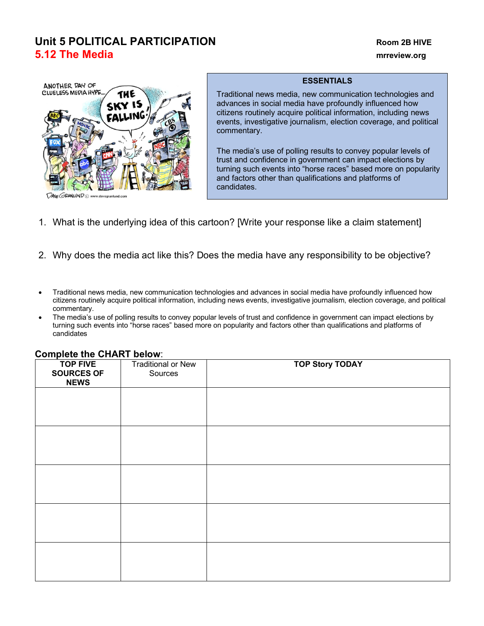# **Unit 5 POLITICAL PARTICIPATION Room 2B HIVE 5.12 The Media mrreview.org**



## **ESSENTIALS**

Traditional news media, new communication technologies and advances in social media have profoundly influenced how citizens routinely acquire political information, including news events, investigative journalism, election coverage, and political commentary.

The media's use of polling results to convey popular levels of trust and confidence in government can impact elections by turning such events into "horse races" based more on popularity and factors other than qualifications and platforms of candidates.

- 1. What is the underlying idea of this cartoon? [Write your response like a claim statement]
- 2. Why does the media act like this? Does the media have any responsibility to be objective?
- Traditional news media, new communication technologies and advances in social media have profoundly influenced how citizens routinely acquire political information, including news events, investigative journalism, election coverage, and political commentary.
- The media's use of polling results to convey popular levels of trust and confidence in government can impact elections by turning such events into "horse races" based more on popularity and factors other than qualifications and platforms of candidates

| <b>TOP FIVE</b><br><b>SOURCES OF</b><br><b>NEWS</b> | <b>Traditional or New</b><br>Sources | <b>TOP Story TODAY</b> |
|-----------------------------------------------------|--------------------------------------|------------------------|
|                                                     |                                      |                        |
|                                                     |                                      |                        |
|                                                     |                                      |                        |
|                                                     |                                      |                        |
|                                                     |                                      |                        |
|                                                     |                                      |                        |
|                                                     |                                      |                        |
|                                                     |                                      |                        |

#### **Complete the CHART below**: